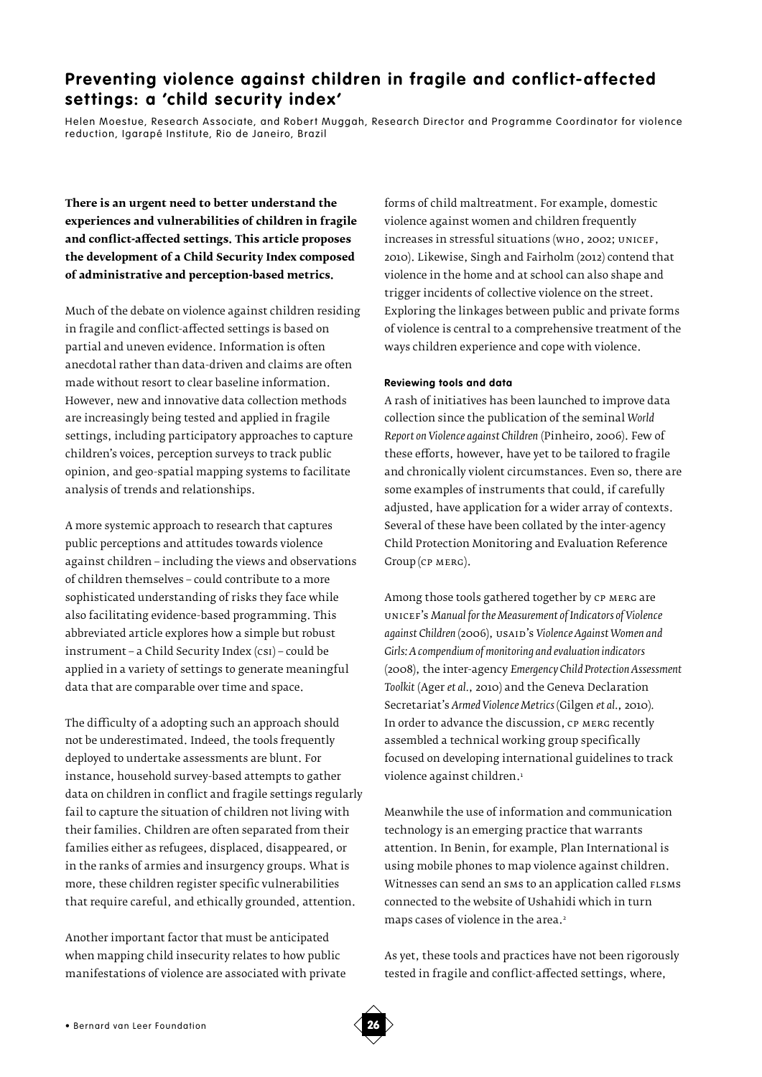# Preventing violence against children in fragile and conflict-affected **settings: a 'child security index'**

Helen Moestue, Research Associate, and Robert Muggah, Research Director and Programme Coordinator for violence reduction, Igarapé Institute, Rio de Janeiro, Brazil

**There is an urgent need to better understand the experiences and vulnerabilities of children in fragile and conflict-affected settings. This article proposes the development of a Child Security Index composed of administrative and perception-based metrics.**

Much of the debate on violence against children residing in fragile and conflict-affected settings is based on partial and uneven evidence. Information is often anecdotal rather than data-driven and claims are often made without resort to clear baseline information. However, new and innovative data collection methods are increasingly being tested and applied in fragile settings, including participatory approaches to capture children's voices, perception surveys to track public opinion, and geo-spatial mapping systems to facilitate analysis of trends and relationships.

A more systemic approach to research that captures public perceptions and attitudes towards violence against children – including the views and observations of children themselves – could contribute to a more sophisticated understanding of risks they face while also facilitating evidence-based programming. This abbreviated article explores how a simple but robust instrument – a Child Security Index (csi) – could be applied in a variety of settings to generate meaningful data that are comparable over time and space.

The difficulty of a adopting such an approach should not be underestimated. Indeed, the tools frequently deployed to undertake assessments are blunt. For instance, household survey-based attempts to gather data on children in conflict and fragile settings regularly fail to capture the situation of children not living with their families. Children are often separated from their families either as refugees, displaced, disappeared, or in the ranks of armies and insurgency groups. What is more, these children register specific vulnerabilities that require careful, and ethically grounded, attention.

Another important factor that must be anticipated when mapping child insecurity relates to how public manifestations of violence are associated with private

forms of child maltreatment. For example, domestic violence against women and children frequently increases in stressful situations (who, 2002; unicef, 2010). Likewise, Singh and Fairholm (2012) contend that violence in the home and at school can also shape and trigger incidents of collective violence on the street. Exploring the linkages between public and private forms of violence is central to a comprehensive treatment of the ways children experience and cope with violence.

# **Reviewing tools and data**

A rash of initiatives has been launched to improve data collection since the publication of the seminal *World Report on Violence against Children* (Pinheiro, 2006). Few of these efforts, however, have yet to be tailored to fragile and chronically violent circumstances. Even so, there are some examples of instruments that could, if carefully adjusted, have application for a wider array of contexts. Several of these have been collated by the inter-agency Child Protection Monitoring and Evaluation Reference Group (cp merg).

Among those tools gathered together by cp merg are unicef's *Manual for the Measurement of Indicators of Violence against Children* (2006), usaid's *Violence Against Women and Girls: A compendium of monitoring and evaluation indicators* (2008), the inter-agency *Emergency Child Protection Assessment Toolkit* (Ager *et al.*, 2010) and the Geneva Declaration Secretariat's *Armed Violence Metrics* (Gilgen *et al.*, 2010)*.*  In order to advance the discussion, CP MERG recently assembled a technical working group specifically focused on developing international guidelines to track violence against children.<sup>1</sup>

Meanwhile the use of information and communication technology is an emerging practice that warrants attention. In Benin, for example, Plan International is using mobile phones to map violence against children. Witnesses can send an sms to an application called FLSMS connected to the website of Ushahidi which in turn maps cases of violence in the area.<sup>2</sup>

As yet, these tools and practices have not been rigorously tested in fragile and conflict-affected settings, where,

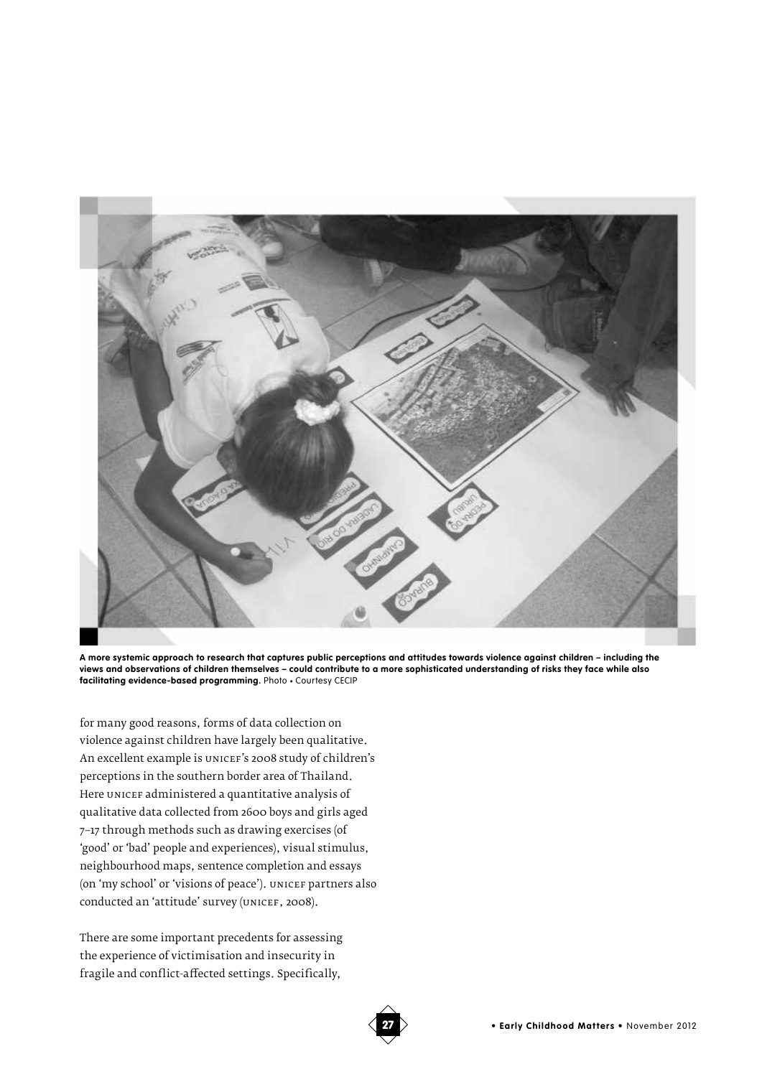

**A more systemic approach to research that captures public perceptions and attitudes towards violence against children – including the views and observations of children themselves – could contribute to a more sophisticated understanding of risks they face while also facilitating evidence-based programming.** Photo • Courtesy CECIP

for many good reasons, forms of data collection on violence against children have largely been qualitative. An excellent example is unicef's 2008 study of children's perceptions in the southern border area of Thailand. Here unicef administered a quantitative analysis of qualitative data collected from 2600 boys and girls aged 7–17 through methods such as drawing exercises (of 'good' or 'bad' people and experiences), visual stimulus, neighbourhood maps, sentence completion and essays (on 'my school' or 'visions of peace'). UNICEF partners also conducted an 'attitude' survey (UNICEF, 2008).

There are some important precedents for assessing the experience of victimisation and insecurity in fragile and conflict-affected settings. Specifically,

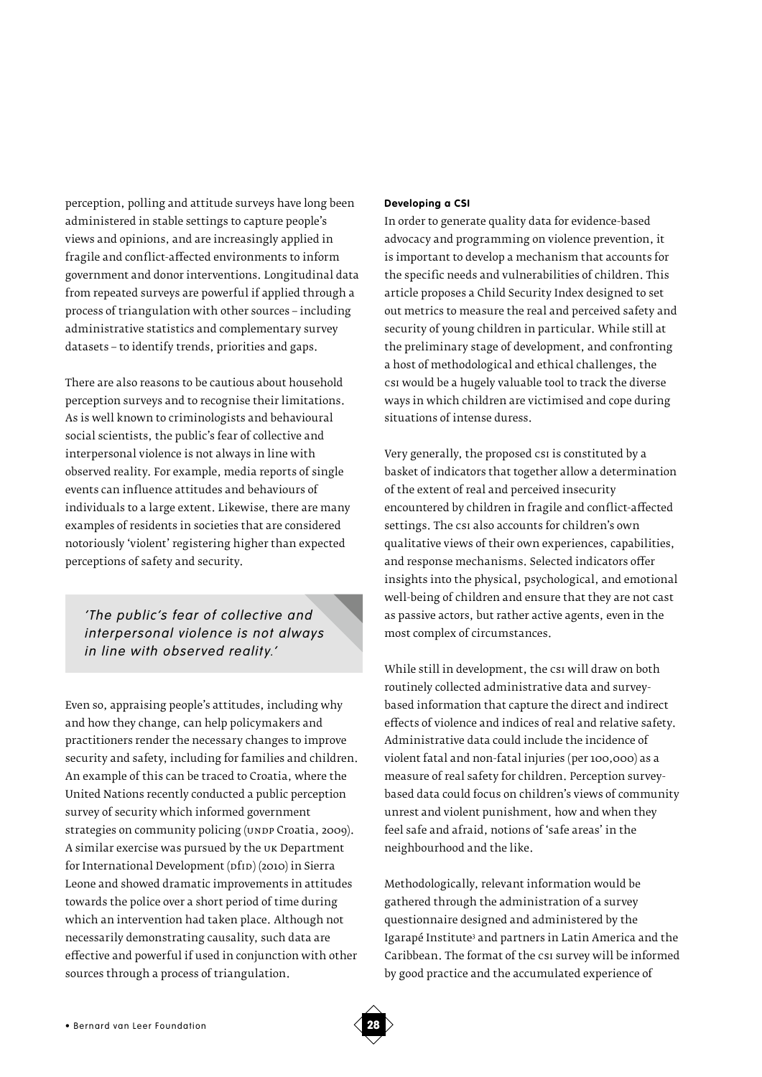perception, polling and attitude surveys have long been administered in stable settings to capture people's views and opinions, and are increasingly applied in fragile and conflict-affected environments to inform government and donor interventions. Longitudinal data from repeated surveys are powerful if applied through a process of triangulation with other sources – including administrative statistics and complementary survey datasets – to identify trends, priorities and gaps.

There are also reasons to be cautious about household perception surveys and to recognise their limitations. As is well known to criminologists and behavioural social scientists, the public's fear of collective and interpersonal violence is not always in line with observed reality. For example, media reports of single events can influence attitudes and behaviours of individuals to a large extent. Likewise, there are many examples of residents in societies that are considered notoriously 'violent' registering higher than expected perceptions of safety and security.

*'The public's fear of collective and interpersonal violence is not always in line with observed reality.'*

Even so, appraising people's attitudes, including why and how they change, can help policymakers and practitioners render the necessary changes to improve security and safety, including for families and children. An example of this can be traced to Croatia, where the United Nations recently conducted a public perception survey of security which informed government strategies on community policing (UNDP Croatia, 2009). A similar exercise was pursued by the uk Department for International Development (pfip) (2010) in Sierra Leone and showed dramatic improvements in attitudes towards the police over a short period of time during which an intervention had taken place. Although not necessarily demonstrating causality, such data are effective and powerful if used in conjunction with other sources through a process of triangulation.

## **Developing a CSI**

In order to generate quality data for evidence-based advocacy and programming on violence prevention, it is important to develop a mechanism that accounts for the specific needs and vulnerabilities of children. This article proposes a Child Security Index designed to set out metrics to measure the real and perceived safety and security of young children in particular. While still at the preliminary stage of development, and confronting a host of methodological and ethical challenges, the csi would be a hugely valuable tool to track the diverse ways in which children are victimised and cope during situations of intense duress.

Very generally, the proposed csi is constituted by a basket of indicators that together allow a determination of the extent of real and perceived insecurity encountered by children in fragile and conflict-affected settings. The csi also accounts for children's own qualitative views of their own experiences, capabilities, and response mechanisms. Selected indicators offer insights into the physical, psychological, and emotional well-being of children and ensure that they are not cast as passive actors, but rather active agents, even in the most complex of circumstances.

While still in development, the csi will draw on both routinely collected administrative data and surveybased information that capture the direct and indirect effects of violence and indices of real and relative safety. Administrative data could include the incidence of violent fatal and non-fatal injuries (per 100,000) as a measure of real safety for children. Perception surveybased data could focus on children's views of community unrest and violent punishment, how and when they feel safe and afraid, notions of 'safe areas' in the neighbourhood and the like.

Methodologically, relevant information would be gathered through the administration of a survey questionnaire designed and administered by the Igarapé Institute<sup>3</sup> and partners in Latin America and the Caribbean. The format of the csi survey will be informed by good practice and the accumulated experience of

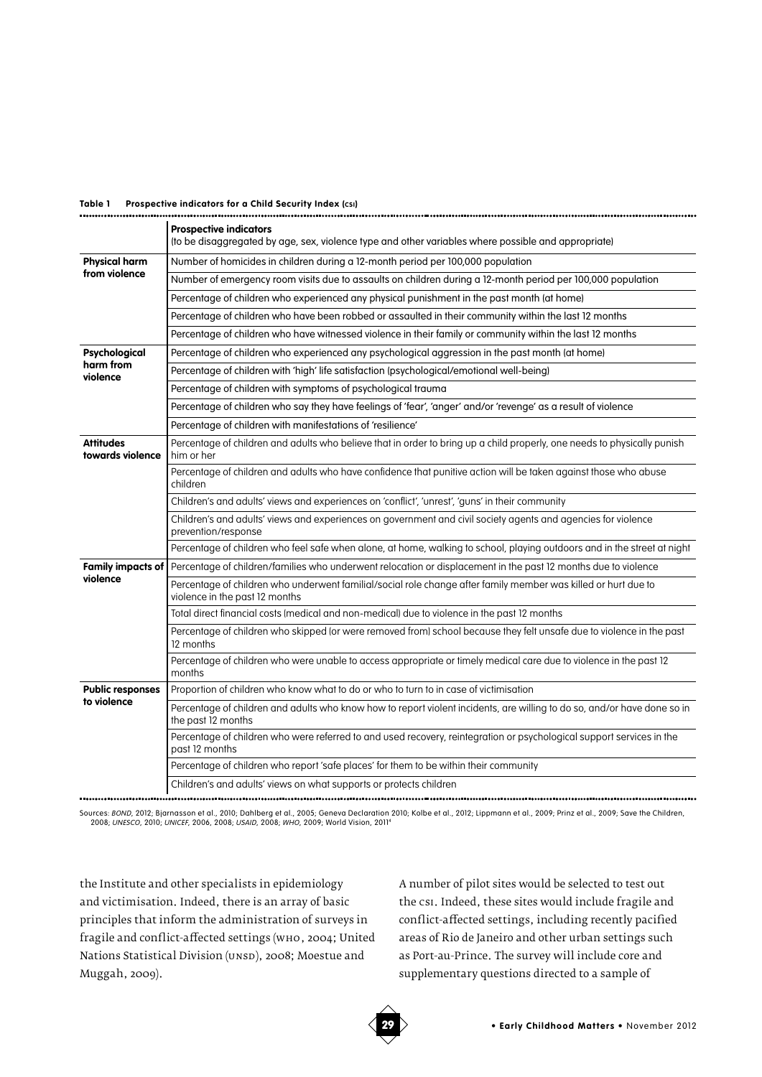## **Table 1 Prospective indicators for a Child Security Index (csi)**

|                                        | <b>Prospective indicators</b><br>(to be disaggregated by age, sex, violence type and other variables where possible and appropriate)             |
|----------------------------------------|--------------------------------------------------------------------------------------------------------------------------------------------------|
| <b>Physical harm</b><br>from violence  | Number of homicides in children during a 12-month period per 100,000 population                                                                  |
|                                        | Number of emergency room visits due to assaults on children during a 12-month period per 100,000 population                                      |
|                                        | Percentage of children who experienced any physical punishment in the past month (at home)                                                       |
|                                        | Percentage of children who have been robbed or assaulted in their community within the last 12 months                                            |
|                                        | Percentage of children who have witnessed violence in their family or community within the last 12 months                                        |
| Psychological<br>harm from<br>violence | Percentage of children who experienced any psychological aggression in the past month (at home)                                                  |
|                                        | Percentage of children with 'high' life satisfaction (psychological/emotional well-being)                                                        |
|                                        | Percentage of children with symptoms of psychological trauma                                                                                     |
|                                        | Percentage of children who say they have feelings of 'fear', 'anger' and/or 'revenge' as a result of violence                                    |
|                                        | Percentage of children with manifestations of 'resilience'                                                                                       |
| <b>Attitudes</b><br>towards violence   | Percentage of children and adults who believe that in order to bring up a child properly, one needs to physically punish<br>him or her           |
|                                        | Percentage of children and adults who have confidence that punitive action will be taken against those who abuse<br>children                     |
|                                        | Children's and adults' views and experiences on 'conflict', 'unrest', 'guns' in their community                                                  |
|                                        | Children's and adults' views and experiences on government and civil society agents and agencies for violence<br>prevention/response             |
|                                        | Percentage of children who feel safe when alone, at home, walking to school, playing outdoors and in the street at night                         |
| <b>Family impacts of</b><br>violence   | Percentage of children/families who underwent relocation or displacement in the past 12 months due to violence                                   |
|                                        | Percentage of children who underwent familial/social role change after family member was killed or hurt due to<br>violence in the past 12 months |
|                                        | Total direct financial costs (medical and non-medical) due to violence in the past 12 months                                                     |
|                                        | Percentage of children who skipped (or were removed from) school because they felt unsafe due to violence in the past<br>12 months               |
|                                        | Percentage of children who were unable to access appropriate or timely medical care due to violence in the past 12<br>months                     |
| <b>Public responses</b><br>to violence | Proportion of children who know what to do or who to turn to in case of victimisation                                                            |
|                                        | Percentage of children and adults who know how to report violent incidents, are willing to do so, and/or have done so in<br>the past 12 months   |
|                                        | Percentage of children who were referred to and used recovery, reintegration or psychological support services in the<br>past 12 months          |
|                                        | Percentage of children who report 'safe places' for them to be within their community                                                            |
|                                        | Children's and adults' views on what supports or protects children                                                                               |

Sources: *BOND,* 2012; Bjarnasson et al., 2010; Dahlberg et al., 2005; Geneva Declaration 2010; Kolbe et al., 2012; Lippmann et al., 2009; Prinz et al., 2009; Save the Children,<br>2008; *UNESCO,* 2010; *UNICEF,* 2006, 2008;

the Institute and other specialists in epidemiology and victimisation. Indeed, there is an array of basic principles that inform the administration of surveys in fragile and conflict-affected settings (who, 2004; United Nations Statistical Division (UNSD), 2008; Moestue and Muggah, 2009).

A number of pilot sites would be selected to test out the csi. Indeed, these sites would include fragile and conflict-affected settings, including recently pacified areas of Rio de Janeiro and other urban settings such as Port-au-Prince. The survey will include core and supplementary questions directed to a sample of

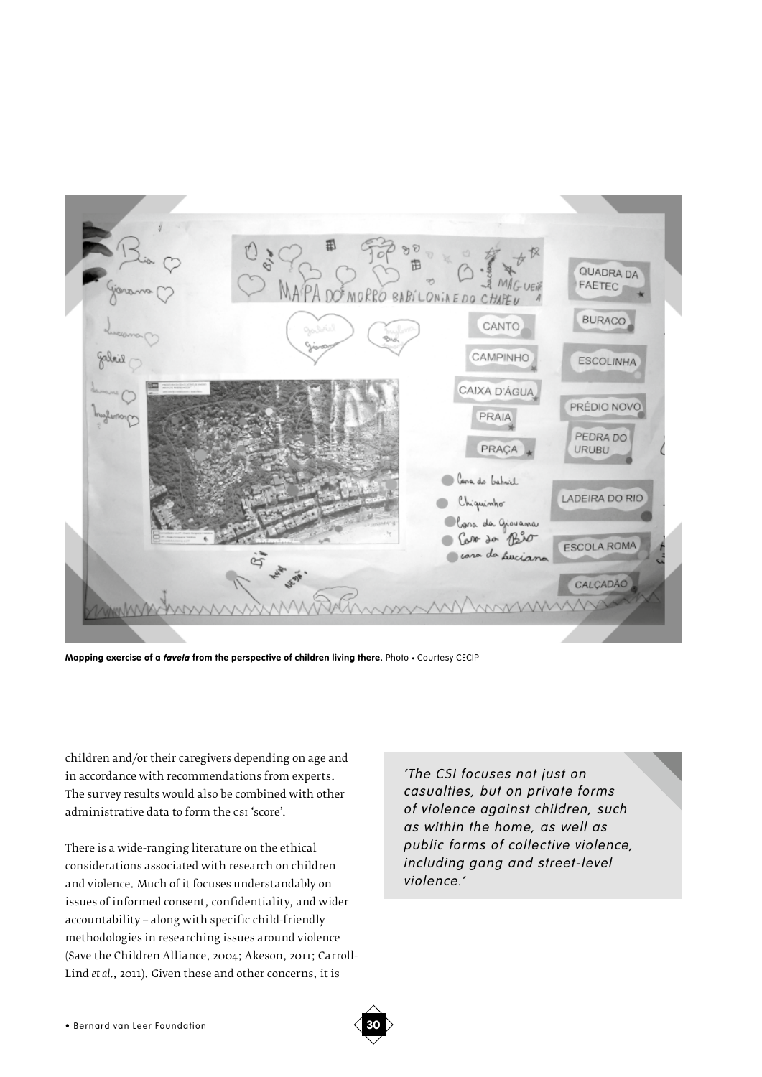

**Mapping exercise of a** *favela* **from the perspective of children living there.** Photo • Courtesy CECIP

children and/or their caregivers depending on age and in accordance with recommendations from experts. The survey results would also be combined with other administrative data to form the csi 'score'.

There is a wide-ranging literature on the ethical considerations associated with research on children and violence. Much of it focuses understandably on issues of informed consent, confidentiality, and wider accountability – along with specific child-friendly methodologies in researching issues around violence (Save the Children Alliance, 2004; Akeson, 2011; Carroll-Lind *et al.*, 2011). Given these and other concerns, it is

*'The CSI focuses not just on casualties, but on private forms of violence against children, such as within the home, as well as public forms of collective violence, including gang and street-level violence.'*

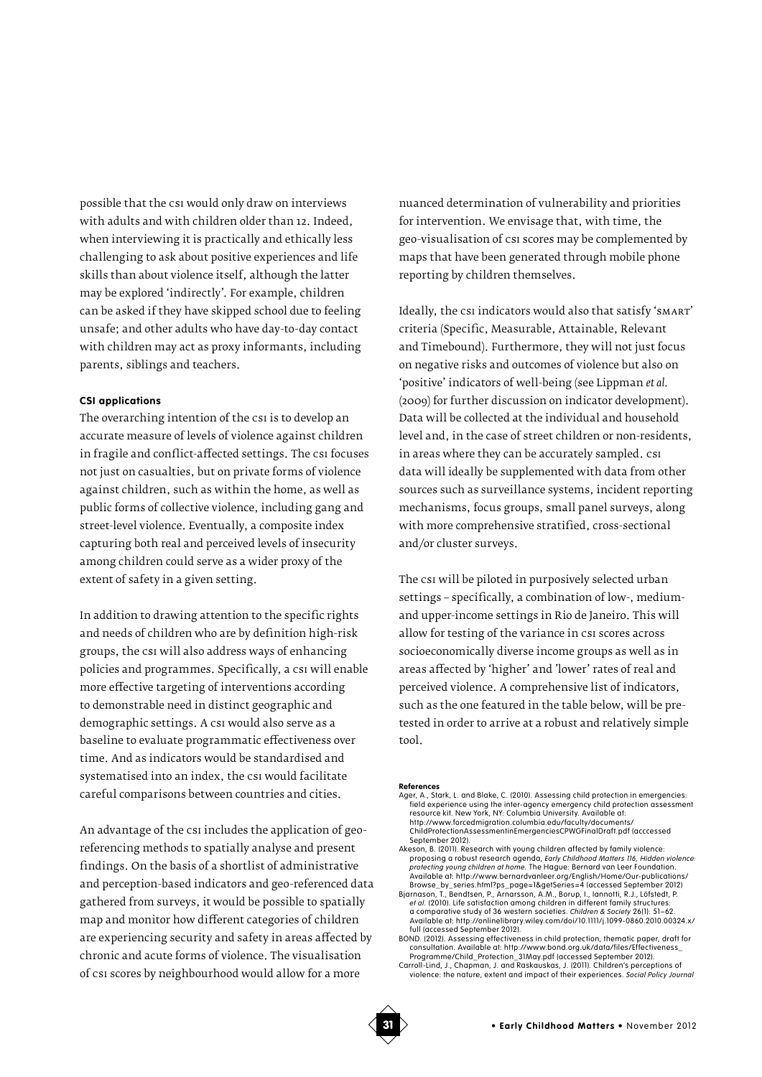possible that the csi would only draw on interviews with adults and with children older than 12. Indeed, when interviewing it is practically and ethically less challenging to ask about positive experiences and life skills than about violence itself, although the latter may be explored 'indirectly'. For example, children can be asked if they have skipped school due to feeling unsafe; and other adults who have day-to-day contact with children may act as proxy informants, including parents, siblings and teachers.

## **CSI applications**

The overarching intention of the csi is to develop an accurate measure of levels of violence against children in fragile and conflict-affected settings. The csi focuses not just on casualties, but on private forms of violence against children, such as within the home, as well as public forms of collective violence, including gang and street-level violence. Eventually, a composite index capturing both real and perceived levels of insecurity among children could serve as a wider proxy of the extent of safety in a given setting.

In addition to drawing attention to the specific rights and needs of children who are by definition high-risk groups, the csi will also address ways of enhancing policies and programmes. Specifically, a csi will enable more effective targeting of interventions according to demonstrable need in distinct geographic and demographic settings. A csi would also serve as a baseline to evaluate programmatic effectiveness over time. And as indicators would be standardised and systematised into an index, the csi would facilitate careful comparisons between countries and cities.

An advantage of the csi includes the application of georeferencing methods to spatially analyse and present findings. On the basis of a shortlist of administrative and perception-based indicators and geo-referenced data gathered from surveys, it would be possible to spatially map and monitor how different categories of children are experiencing security and safety in areas affected by chronic and acute forms of violence. The visualisation of csi scores by neighbourhood would allow for a more

nuanced determination of vulnerability and priorities for intervention. We envisage that, with time, the geo-visualisation of csi scores may be complemented by maps that have been generated through mobile phone reporting by children themselves.

Ideally, the csi indicators would also that satisfy 'SMART' criteria (Specific, Measurable, Attainable, Relevant and Timebound). Furthermore, they will not just focus on negative risks and outcomes of violence but also on 'positive' indicators of well-being (see Lippman *et al.* (2009) for further discussion on indicator development). Data will be collected at the individual and household level and, in the case of street children or non-residents, in areas where they can be accurately sampled. csi data will ideally be supplemented with data from other sources such as surveillance systems, incident reporting mechanisms, focus groups, small panel surveys, along with more comprehensive stratified, cross-sectional and/or cluster surveys.

The csi will be piloted in purposively selected urban settings – specifically, a combination of low-, mediumand upper-income settings in Rio de Janeiro. This will allow for testing of the variance in csi scores across socioeconomically diverse income groups as well as in areas affected by 'higher' and 'lower' rates of real and perceived violence. A comprehensive list of indicators, such as the one featured in the table below, will be pretested in order to arrive at a robust and relatively simple tool.

#### **References**

- Ager, A., Stark, L. and Blake, C. (2010). Assessing child protection in emergencies: field experience using the inter-agency emergency child protection assessment<br>resource kit. New York, NY: Columbia University. Available at:<br>http://www.forcedmigration.columbia.edu/faculty/documents/
- ChildProtectionAssessmentinEmergenciesCPWGFinalDraft.pdf (acccessed September 2012).
- Akeson, B. (2011). Research with young children affected by family violence: proposing a robust research agenda, *Early Childhood Matters 116, Hidden violence: protecting young children at home.* The Hague: Bernard van Leer Foundation. Available at: http://www.bernardvanleer.org/English/Home/Our-publications/
- |Browse\_by\_series.html?ps\_page=1&getSeries=4 (accessed September 2012<br>|Bjarnason, T., Bendtsen, P., Arnarsson, A.M., Borup, I., lamottli, R.J., Löfstedt, P.<br>|er al. (2010). Life satisfaction among children in different fam a comparative study of 36 western societies. *Children & Society* 26(1): 51–62. Available at: http://onlinelibrary.wiley.com/doi/10.1111/j.1099-0860.2010.00324.x/ full (accessed September 2012).
- BOND. (2012). Assessing effectiveness in child protection, thematic paper, draft for<br>— consultation. Available at: http://www.bond.org.uk/data/files/Effectiveness\_<br>— Programme/Child\_Protection\_31May.pdf (accessed September
- Carroll-Lind, J., Chapman, J. and Raskauskas, J. (2011). Children's perceptions of violence: the nature, extent and impact of their experiences. *Social Policy Journal*